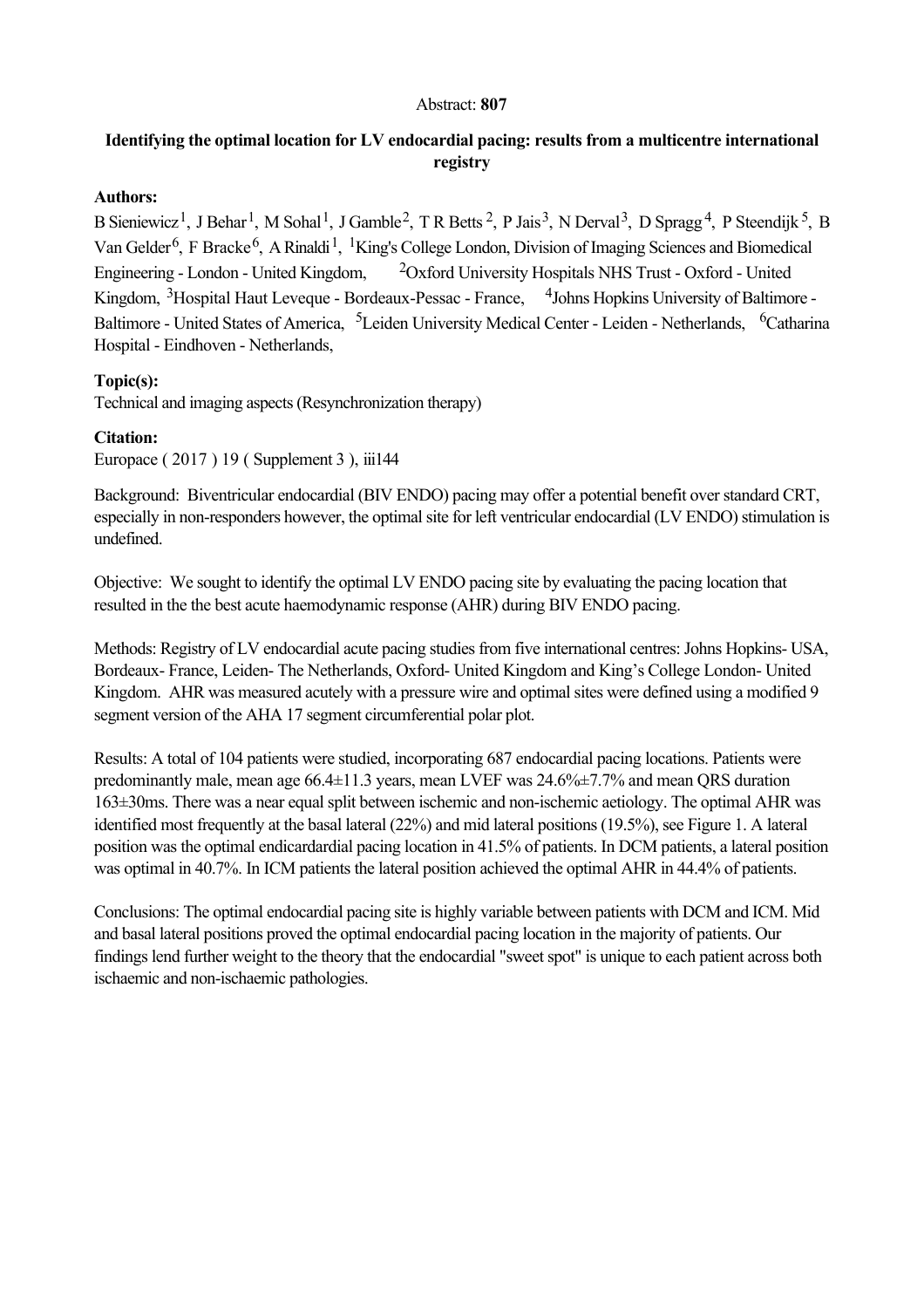#### Abstract: **807**

# **Identifying the optimal location for LV endocardial pacing: results from a multicentre international registry**

### **Authors:**

B Sieniewicz<sup>1</sup>, J Behar<sup>1</sup>, M Sohal<sup>1</sup>, J Gamble<sup>2</sup>, T R Betts<sup>2</sup>, P Jais<sup>3</sup>, N Derval<sup>3</sup>, D Spragg<sup>4</sup>, P Steendijk<sup>5</sup>, B Van Gelder<sup>6</sup>, F Bracke<sup>6</sup>, A Rinaldi<sup>1</sup>, <sup>1</sup>King's College London, Division of Imaging Sciences and Biomedical Engineering - London - United Kingdom,  $20x$  ford University Hospitals NHS Trust - Oxford - United Kingdom, <sup>3</sup>Hospital Haut Leveque - Bordeaux-Pessac - France, <sup>4</sup>Johns Hopkins University of Baltimore -Baltimore - United States of America, <sup>5</sup>Leiden University Medical Center - Leiden - Netherlands, <sup>6</sup>Catharina Hospital - Eindhoven - Netherlands,

## **Topic(s):**

Technical and imaging aspects (Resynchronization therapy)

## **Citation:**

Europace ( 2017 ) 19 ( Supplement 3 ), iii144

Background: Biventricular endocardial (BIV ENDO) pacing may offer a potential benefit over standard CRT, especially in non-responders however, the optimal site for left ventricular endocardial (LV ENDO) stimulation is undefined.

Objective: We sought to identify the optimal LV ENDO pacing site by evaluating the pacing location that resulted in the the best acute haemodynamic response (AHR) during BIV ENDO pacing.

Methods: Registry of LV endocardial acute pacing studies from five international centres: Johns Hopkins-USA, Bordeaux-France, Leiden-The Netherlands, Oxford-United Kingdom and King's College London-United Kingdom. AHR was measured acutely with a pressure wire and optimal sites were defined using a modified 9 segment version of the AHA 17 segment circumferential polar plot.

Results: A total of 104 patients were studied, incorporating 687 endocardial pacing locations. Patients were predominantly male, mean age 66.4±11.3 years, mean LVEF was 24.6%±7.7% and mean QRS duration 163±30ms. There was a near equal split between ischemic and nonischemic aetiology. The optimal AHR was identified most frequently at the basal lateral (22%) and mid lateral positions (19.5%), see Figure 1. A lateral position was the optimal endicardardial pacing location in 41.5% of patients. In DCM patients, a lateral position was optimal in 40.7%. In ICM patients the lateral position achieved the optimal AHR in 44.4% of patients.

Conclusions: The optimal endocardial pacing site is highly variable between patients with DCM and ICM. Mid and basal lateral positions proved the optimal endocardial pacing location in the majority of patients. Our findings lend further weight to the theory that the endocardial "sweet spot" is unique to each patient across both ischaemic and non-ischaemic pathologies.